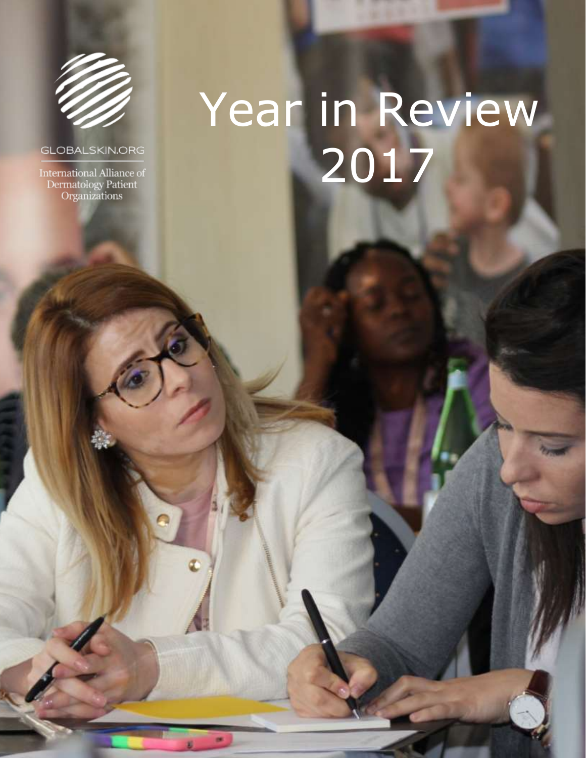

#### **GLOBALSKIN.ORG**

International Alliance of<br>Dermatology Patient<br>Organizations

**1 |** P a g e

# Year in Review 2017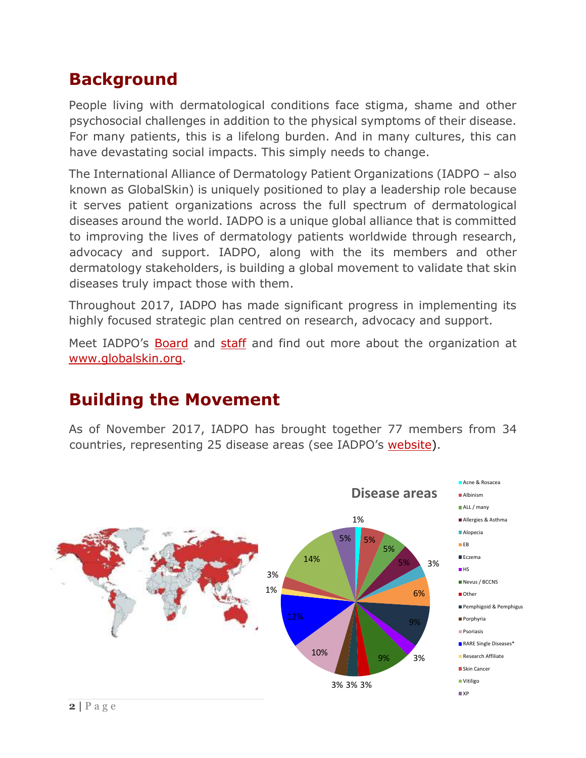# **Background**

People living with dermatological conditions face stigma, shame and other psychosocial challenges in addition to the physical symptoms of their disease. For many patients, this is a lifelong burden. And in many cultures, this can have devastating social impacts. This simply needs to change.

The International Alliance of Dermatology Patient Organizations (IADPO – also known as GlobalSkin) is uniquely positioned to play a leadership role because it serves patient organizations across the full spectrum of dermatological diseases around the world. IADPO is a unique global alliance that is committed to improving the lives of dermatology patients worldwide through research, advocacy and support. IADPO, along with the its members and other dermatology stakeholders, is building a global movement to validate that skin diseases truly impact those with them.

Throughout 2017, IADPO has made significant progress in implementing its highly focused strategic plan centred on research, advocacy and support.

Meet IADPO's [Board](https://globalskin.org/about-us/board-of-directors) and [staff](https://globalskin.org/about-us/staff) and find out more about the organization at [www.globalskin.org.](http://www.globalskin.org/)

#### **Building the Movement**

As of November 2017, IADPO has brought together 77 members from 34 countries, representing 25 disease areas (see IADPO's [website\)](http://globalskin.org/membership/member-list).

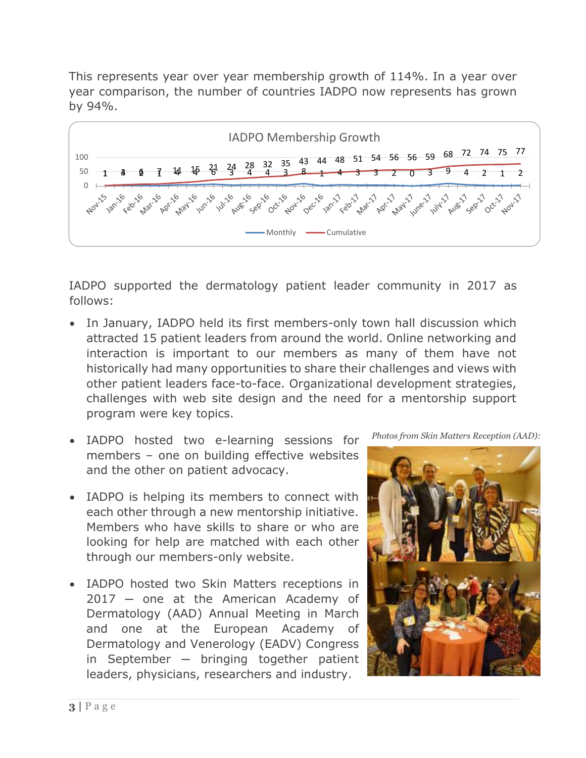This represents year over year membership growth of 114%. In a year over year comparison, the number of countries IADPO now represents has grown by 94%.



IADPO supported the dermatology patient leader community in 2017 as follows:

- In January, IADPO held its first members-only town hall discussion which attracted 15 patient leaders from around the world. Online networking and interaction is important to our members as many of them have not historically had many opportunities to share their challenges and views with other patient leaders face-to-face. Organizational development strategies, challenges with web site design and the need for a mentorship support program were key topics.
- IADPO hosted two e-learning sessions for members – one on building effective websites and the other on patient advocacy.
- IADPO is helping its members to connect with each other through a new mentorship initiative. Members who have skills to share or who are looking for help are matched with each other through our members-only website.
- IADPO hosted two Skin Matters receptions in 2017 ─ one at the American Academy of Dermatology (AAD) Annual Meeting in March and one at the European Academy of Dermatology and Venerology (EADV) Congress in September - bringing together patient leaders, physicians, researchers and industry.

*Photos from Skin Matters Reception (AAD):*

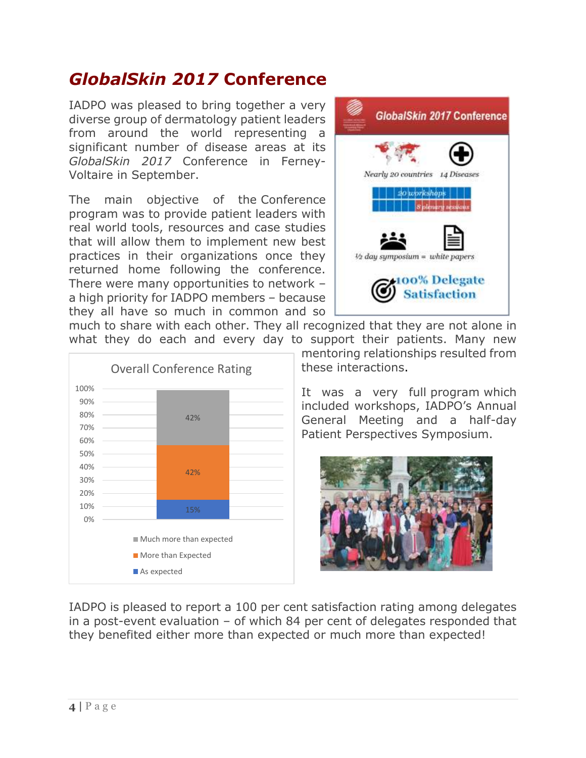### *GlobalSkin 2017* **Conference**

IADPO was pleased to bring together a very diverse group of dermatology patient leaders from around the world representing a significant number of disease areas at its *GlobalSkin 2017* Conference in Ferney-Voltaire in September.

The main objective of the Conference program was to provide patient leaders with real world tools, resources and case studies that will allow them to implement new best practices in their organizations once they returned home following the conference. There were many opportunities to network – a high priority for IADPO members – because they all have so much in common and so



much to share with each other. They all recognized that they are not alone in what they do each and every day to support their patients. Many new



mentoring relationships resulted from these interactions.

It was a very full [program](https://globalskin.org/program) which included workshops, IADPO's Annual General Meeting and a half-day Patient Perspectives Symposium.



IADPO is pleased to report a 100 per cent satisfaction rating among delegates in a post-event evaluation – of which 84 per cent of delegates responded that they benefited either more than expected or much more than expected!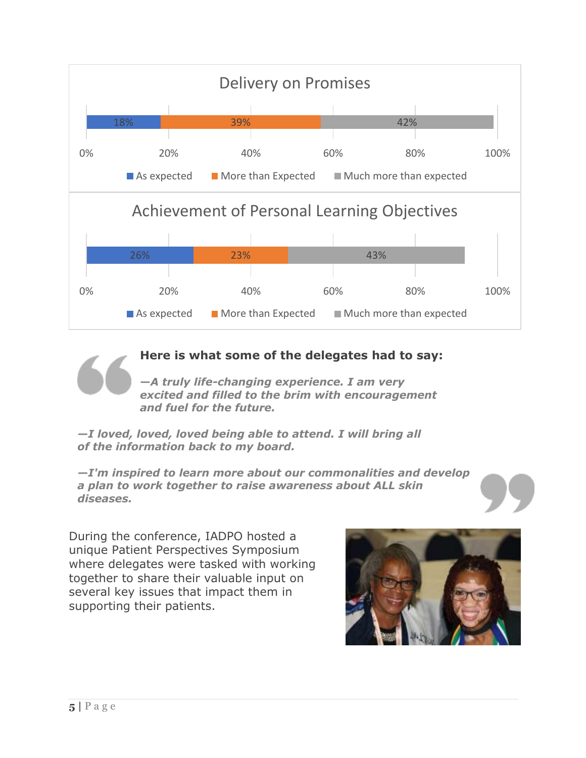

**Here is what some of the delegates had to say:**

**—***A truly life-changing experience. I am very excited and filled to the brim with encouragement and fuel for the future.*

*—I loved, loved, loved being able to attend. I will bring all of the information back to my board.*

*—I'm inspired to learn more about our commonalities and develop a plan to work together to raise awareness about ALL skin diseases.*

During the conference, IADPO hosted a unique Patient Perspectives Symposium where delegates were tasked with working together to share their valuable input on several key issues that impact them in supporting their patients.

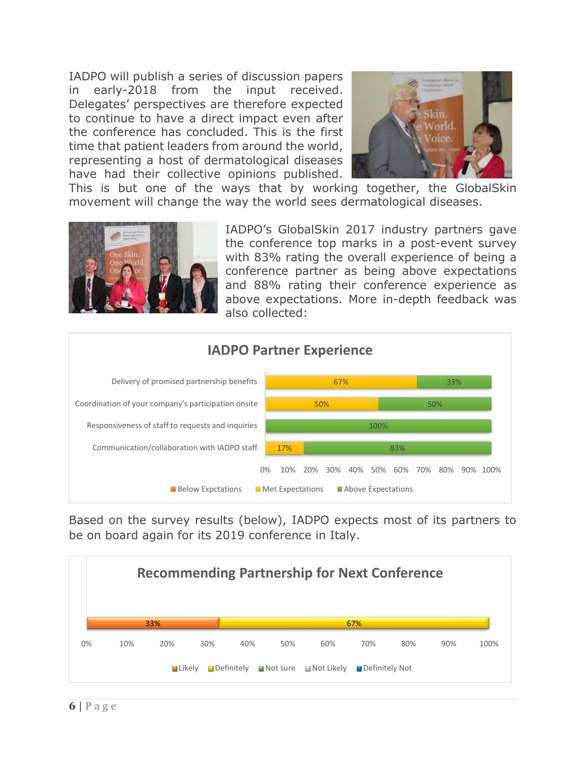IADPO will publish a series of discussion papers in early-2018 from the input received. Delegates' perspectives are therefore expected to continue to have a direct impact even after the conference has concluded. This is the first time that patient leaders from around the world, representing a host of dermatological diseases have had their collective opinions published.



This is but one of the ways that by working together, the GlobalSkin movement will change the way the world sees dermatological diseases.

![](_page_5_Picture_3.jpeg)

IADPO's GlobalSkin 2017 industry partners gave the conference top marks in a post-event survey with 83% rating the overall experience of being a conference partner as being above expectations and 88% rating their conference experience as above expectations. More in-depth feedback was also collected:

![](_page_5_Figure_5.jpeg)

Based on the survey results (below), IADPO expects most of its partners to be on board again for its 2019 conference in Italy.

![](_page_5_Figure_7.jpeg)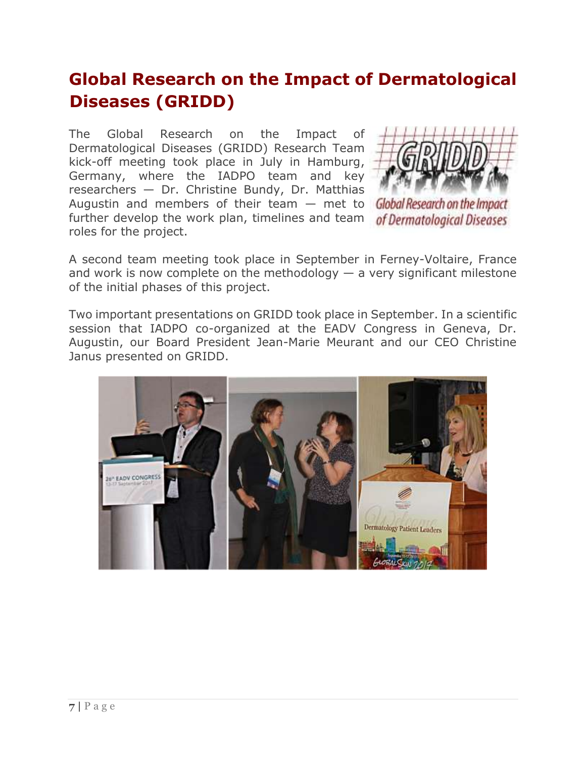# **Global Research on the Impact of Dermatological Diseases (GRIDD)**

The Global Research on the Impact of Dermatological Diseases (GRIDD) Research Team kick-off meeting took place in July in Hamburg, Germany, where the IADPO team and key researchers — Dr. Christine Bundy, Dr. Matthias Augustin and members of their team  $-$  met to Global Research on the Impact further develop the work plan, timelines and team roles for the project.

![](_page_6_Picture_2.jpeg)

of Dermatological Diseases

A second team meeting took place in September in Ferney-Voltaire, France and work is now complete on the methodology  $-$  a very significant milestone of the initial phases of this project.

Two important presentations on GRIDD took place in September. In a [scientific](https://globalskin.org/index.php?option=com_content&view=article&id=240:iadpo%E2%80%99s-scientific-session-at-the-eadv-congress&catid=8:events&utm_source=newsletter_110&utm_medium=email&utm_campaign=newsletter-q4-2017)  [session that IADPO co-organized](https://globalskin.org/index.php?option=com_content&view=article&id=240:iadpo%E2%80%99s-scientific-session-at-the-eadv-congress&catid=8:events&utm_source=newsletter_110&utm_medium=email&utm_campaign=newsletter-q4-2017) at the EADV Congress in Geneva, Dr. Augustin, our Board President Jean-Marie Meurant and our CEO Christine Janus presented on GRIDD.

![](_page_6_Picture_6.jpeg)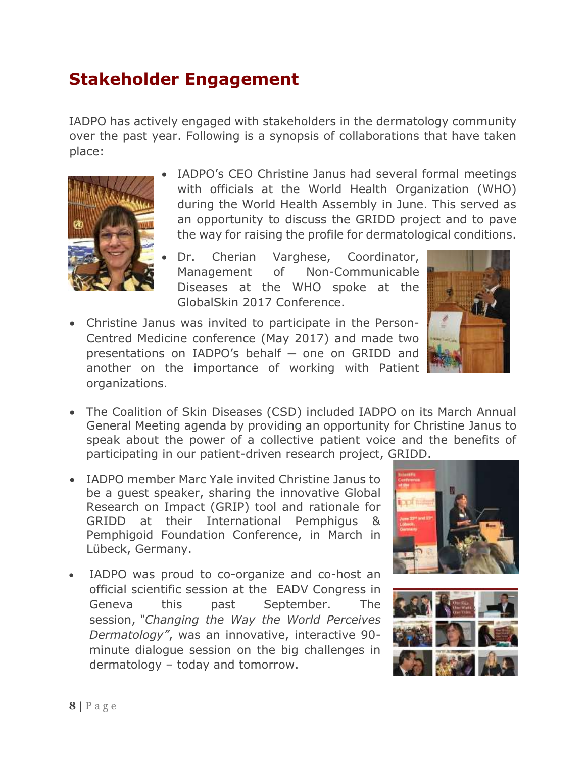### **Stakeholder Engagement**

IADPO has actively engaged with stakeholders in the dermatology community over the past year. Following is a synopsis of collaborations that have taken place:

![](_page_7_Picture_2.jpeg)

- IADPO's CEO Christine Janus had several formal meetings with officials at the World Health Organization (WHO) during the World Health Assembly in June. This served as an opportunity to discuss the GRIDD project and to pave the way for raising the profile for dermatological conditions.
- Dr. Cherian Varghese, Coordinator, Management of Non-Communicable Diseases at the WHO spoke at the GlobalSkin 2017 Conference.
- Christine Janus was invited to participate in the Person-Centred Medicine conference (May 2017) and made two presentations on IADPO's behalf - one on GRIDD and another on the importance of working with Patient organizations.

![](_page_7_Picture_6.jpeg)

- The Coalition of Skin Diseases (CSD) included IADPO on its March Annual General Meeting agenda by providing an opportunity for Christine Janus to speak about the power of a collective patient voice and the benefits of participating in our patient-driven research project, GRIDD.
- IADPO member Marc Yale invited Christine Janus to be a [guest speaker,](https://globalskin.org/news/44-newsletters/223-gridd-at-the-international-pemphigus-pemphigoid-foundation-conference?utm_source=newsletter_86&utm_medium=email&utm_campaign=newsletter-q3-2017&acm=363_86) sharing the innovative Global Research on Impact (GRIP) tool and rationale for GRIDD at their International Pemphigus & Pemphigoid Foundation Conference, in March in Lübeck, Germany.
- IADPO was proud to co-organize and co-host an official [scientific session at the](https://globalskin.org/8-events/240-iadpo%E2%80%99s-scientific-session-at-the-eadv-congress) EADV Congress in Geneva this past September. The session, *"Changing the Way the World Perceives Dermatology"*, was an innovative, interactive 90 minute dialogue session on the big challenges in dermatology – today and tomorrow.

![](_page_7_Picture_10.jpeg)

![](_page_7_Picture_11.jpeg)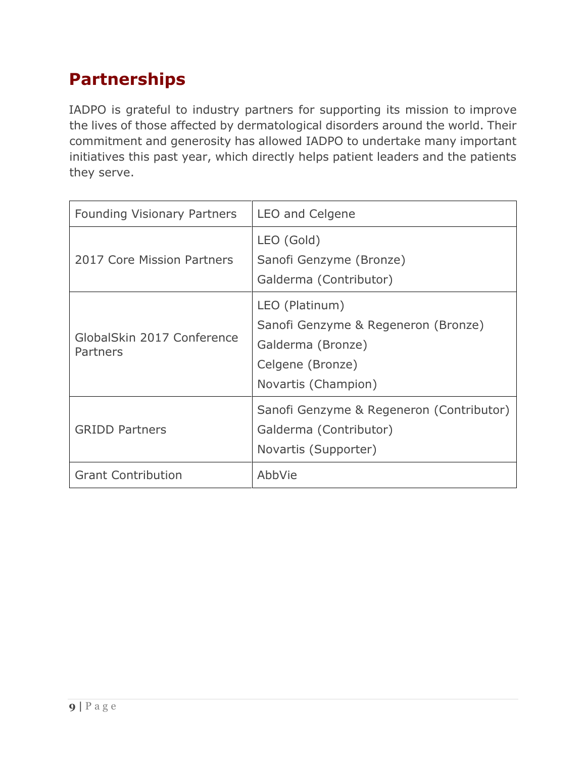# **Partnerships**

IADPO is grateful to industry partners for supporting its mission to improve the lives of those affected by dermatological disorders around the world. Their commitment and generosity has allowed IADPO to undertake many important initiatives this past year, which directly helps patient leaders and the patients they serve.

| <b>Founding Visionary Partners</b>     | LEO and Celgene                                                                                                       |
|----------------------------------------|-----------------------------------------------------------------------------------------------------------------------|
| 2017 Core Mission Partners             | LEO (Gold)<br>Sanofi Genzyme (Bronze)<br>Galderma (Contributor)                                                       |
| GlobalSkin 2017 Conference<br>Partners | LEO (Platinum)<br>Sanofi Genzyme & Regeneron (Bronze)<br>Galderma (Bronze)<br>Celgene (Bronze)<br>Novartis (Champion) |
| <b>GRIDD Partners</b>                  | Sanofi Genzyme & Regeneron (Contributor)<br>Galderma (Contributor)<br>Novartis (Supporter)                            |
| <b>Grant Contribution</b>              | AbbVie                                                                                                                |